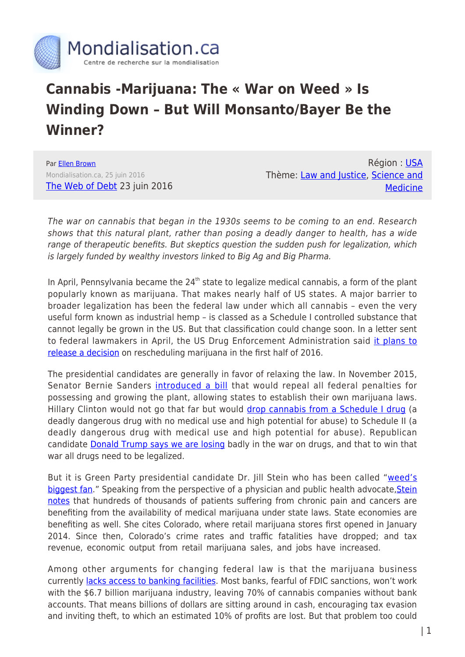

## **Cannabis -Marijuana: The « War on Weed » Is Winding Down – But Will Monsanto/Bayer Be the Winner?**

Par [Ellen Brown](https://www.mondialisation.ca/author/ellen-brown) Mondialisation.ca, 25 juin 2016 [The Web of Debt](https://ellenbrown.com/2016/06/23/the-war-on-weed-is-winding-down-but-will-monsanto-be-the-winner/) 23 juin 2016

Région : [USA](https://www.mondialisation.ca/region/usa) Thème: [Law and Justice](https://www.mondialisation.ca/theme/law-and-justice), [Science and](https://www.mondialisation.ca/theme/science-and-medicine) **[Medicine](https://www.mondialisation.ca/theme/science-and-medicine)** 

The war on cannabis that began in the 1930s seems to be coming to an end. Research shows that this natural plant, rather than posing a deadly danger to health, has a wide range of therapeutic benefits. But skeptics question the sudden push for legalization, which is largely funded by wealthy investors linked to Big Ag and Big Pharma.

In April, Pennsylvania became the  $24<sup>th</sup>$  state to legalize medical cannabis, a form of the plant popularly known as marijuana. That makes nearly half of US states. A major barrier to broader legalization has been the federal law under which all cannabis – even the very useful form known as industrial hemp – is classed as a Schedule I controlled substance that cannot legally be grown in the US. But that classification could change soon. In a letter sent to federal lawmakers in April, the US Drug Enforcement Administration said [it plans to](http://www.denverpost.com/2016/04/06/the-dea-could-soon-announce-a-major-decision-on-rescheduling-marijuana/) [release a decision](http://www.denverpost.com/2016/04/06/the-dea-could-soon-announce-a-major-decision-on-rescheduling-marijuana/) on rescheduling marijuana in the first half of 2016.

The presidential candidates are generally in favor of relaxing the law. In November 2015, Senator Bernie Sanders *[introduced a bill](https://www.mpp.org/news/press/bernie-sanders-introduces-bill-in-senate-to-end-federal-marijuana-prohibition/)* that would repeal all federal penalties for possessing and growing the plant, allowing states to establish their own marijuana laws. Hillary Clinton would not go that far but would [drop cannabis from a Schedule I drug](http://www.hightimes.com/read/radical-rant-bernie-sanders-vs-hillary-clinton-marijuana) (a deadly dangerous drug with no medical use and high potential for abuse) to Schedule II (a deadly dangerous drug with medical use and high potential for abuse). Republican candidate **[Donald Trump says we are losing](https://www.merryjane.com/news/want-marijuana-legalized-then-donald-trump-is-your-best-option)** badly in the war on drugs, and that to win that war all drugs need to be legalized.

But it is Green Party presidential candidate Dr. Jill Stein who has been called "[weed's](https://www.merryjane.com/news/green-party-presidential-candidate-jill-stein-supports-cannabis-legalization) [biggest fan.](https://www.merryjane.com/news/green-party-presidential-candidate-jill-stein-supports-cannabis-legalization)" Speaking from the perspective of a physician and public health advocate, [Stein](http://www.jill2016.com/legalizeit) [notes](http://www.jill2016.com/legalizeit) that hundreds of thousands of patients suffering from chronic pain and cancers are benefiting from the availability of medical marijuana under state laws. State economies are benefiting as well. She cites Colorado, where retail marijuana stores first opened in January 2014. Since then, Colorado's crime rates and traffic fatalities have dropped; and tax revenue, economic output from retail marijuana sales, and jobs have increased.

Among other arguments for changing federal law is that the marijuana business currently [lacks access to banking facilities](http://www.inc.com/will-yakowicz/the-startup-quietly-convincing-banks-to-accept-cash-marijuana-industry.html). Most banks, fearful of FDIC sanctions, won't work with the \$6.7 billion marijuana industry, leaving 70% of cannabis companies without bank accounts. That means billions of dollars are sitting around in cash, encouraging tax evasion and inviting theft, to which an estimated 10% of profits are lost. But that problem too could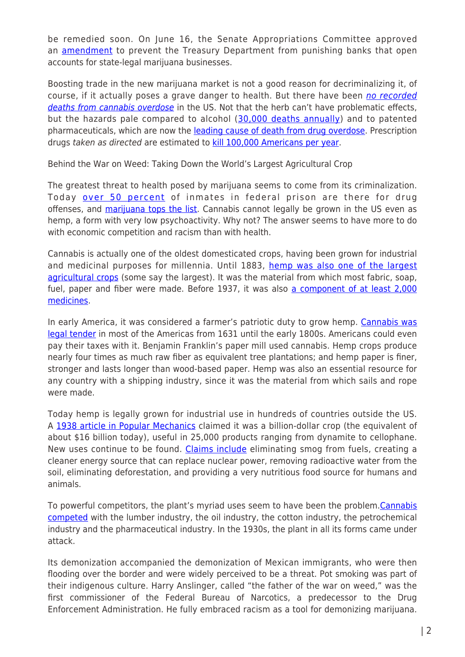be remedied soon. On June 16, the Senate Appropriations Committee approved an **[amendment](http://www.appropriations.senate.gov/imo/media/doc/FY17%20FSGG%20-%20Merkley-Murray%20Marijuana%20Banking%20Amendment.pdf)** to prevent the Treasury Department from punishing banks that open accounts for state-legal marijuana businesses.

Boosting trade in the new marijuana market is not a good reason for decriminalizing it, of course, if it actually poses a grave danger to health. But there have been [no recorded](http://www.drugwarfacts.org/cms/Overdose#sthash.fXpf2xrj.dpbs) [deaths from cannabis overdose](http://www.drugwarfacts.org/cms/Overdose#sthash.fXpf2xrj.dpbs) in the US. Not that the herb can't have problematic effects, but the hazards pale compared to alcohol ([30,000 deaths annually\)](https://www.mpp.org/marijuana-is-safer/) and to patented pharmaceuticals, which are now the [leading cause of death from drug overdose](http://naturalsociety.com/prescriptions-drugs-now-the-leading-cause-of-death-by-overdose/). Prescription drugs taken as directed are estimated to [kill 100,000 Americans per year](http://www.alternet.org/story/147318/100,000_americans_die_each_year_from_prescription_drugs,_while_pharma_companies_get_rich).

Behind the War on Weed: Taking Down the World's Largest Agricultural Crop

The greatest threat to health posed by marijuana seems to come from its criminalization. Today [over 50 percent](http://www.bop.gov/about/statistics/statistics_inmate_offenses.jsp) of inmates in federal prison are there for drug offenses, and [marijuana tops the list](http://www.huffingtonpost.com/2014/03/10/war-on-drugs-prisons-infographic_n_4914884.html). Cannabis cannot legally be grown in the US even as hemp, a form with very low psychoactivity. Why not? The answer seems to have more to do with economic competition and racism than with health.

Cannabis is actually one of the oldest domesticated crops, having been grown for industrial and medicinal purposes for millennia. Until 1883, [hemp was also one of the largest](http://www.ozarkia.net/bill/pot/RiseFallMarijuana.html) [agricultural crops](http://www.ozarkia.net/bill/pot/RiseFallMarijuana.html) (some say the largest). It was the material from which most fabric, soap, fuel, paper and fiber were made. Before 1937, it was also [a component of at least 2,000](https://en.wikipedia.org/wiki/History_of_medical_cannabis) [medicines.](https://en.wikipedia.org/wiki/History_of_medical_cannabis)

In early America, it was considered a farmer's patriotic duty to grow hemp. [Cannabis was](http://www.ozarkia.net/bill/pot/RiseFallMarijuana.html) [legal tender](http://www.ozarkia.net/bill/pot/RiseFallMarijuana.html) in most of the Americas from 1631 until the early 1800s. Americans could even pay their taxes with it. Benjamin Franklin's paper mill used cannabis. Hemp crops produce nearly four times as much raw fiber as equivalent tree plantations; and hemp paper is finer, stronger and lasts longer than wood-based paper. Hemp was also an essential resource for any country with a shipping industry, since it was the material from which sails and rope were made.

Today hemp is legally grown for industrial use in hundreds of countries outside the US. A [1938 article in Popular Mechanics](http://www.hempfarm.org/BillionDollarCrop.html) claimed it was a billion-dollar crop (the equivalent of about \$16 billion today), useful in 25,000 products ranging from dynamite to cellophane. New uses continue to be found. [Claims include](http://www.activistpost.com/2016/05/9-uses-for-hemp-you-wont-learn-from-mainstream-media.html) eliminating smog from fuels, creating a cleaner energy source that can replace nuclear power, removing radioactive water from the soil, eliminating deforestation, and providing a very nutritious food source for humans and animals.

To powerful competitors, the plant's myriad uses seem to have been the problem. [Cannabis](https://www.youtube.com/watch?v=-eA_jeDi1Kc) [competed](https://www.youtube.com/watch?v=-eA_jeDi1Kc) with the lumber industry, the oil industry, the cotton industry, the petrochemical industry and the pharmaceutical industry. In the 1930s, the plant in all its forms came under attack.

Its demonization accompanied the demonization of Mexican immigrants, who were then flooding over the border and were widely perceived to be a threat. Pot smoking was part of their indigenous culture. Harry Anslinger, called "the father of the war on weed," was the first commissioner of the Federal Bureau of Narcotics, a predecessor to the Drug Enforcement Administration. He fully embraced racism as a tool for demonizing marijuana.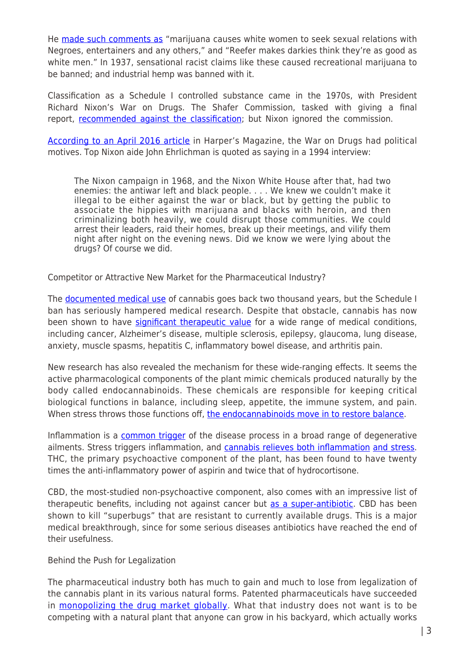He [made such comments as](http://www.huffingtonpost.com/2014/01/14/marijuana-prohibition-racist_n_4590190.html) "marijuana causes white women to seek sexual relations with Negroes, entertainers and any others," and "Reefer makes darkies think they're as good as white men." In 1937, sensational racist claims like these caused recreational marijuana to be banned; and industrial hemp was banned with it.

Classification as a Schedule I controlled substance came in the 1970s, with President Richard Nixon's War on Drugs. The Shafer Commission, tasked with giving a final report, [recommended against the classification](http://www.drugpolicy.org/blog/how-did-marijuana-become-illegal-first-place); but Nixon ignored the commission.

[According to an April 2016 article](http://harpers.org/archive/2016/04/legalize-it-all/) in Harper's Magazine, the War on Drugs had political motives. Top Nixon aide John Ehrlichman is quoted as saying in a 1994 interview:

The Nixon campaign in 1968, and the Nixon White House after that, had two enemies: the antiwar left and black people. . . . We knew we couldn't make it illegal to be either against the war or black, but by getting the public to associate the hippies with marijuana and blacks with heroin, and then criminalizing both heavily, we could disrupt those communities. We could arrest their leaders, raid their homes, break up their meetings, and vilify them night after night on the evening news. Did we know we were lying about the drugs? Of course we did.

Competitor or Attractive New Market for the Pharmaceutical Industry?

The [documented medical use](https://en.wikipedia.org/wiki/History_of_medical_cannabis) of cannabis goes back two thousand years, but the Schedule I ban has seriously hampered medical research. Despite that obstacle, cannabis has now been shown to have [significant therapeutic value](http://www.businessinsider.com/health-benefits-of-medical-marijuana-2014-4) for a wide range of medical conditions, including cancer, Alzheimer's disease, multiple sclerosis, epilepsy, glaucoma, lung disease, anxiety, muscle spasms, hepatitis C, inflammatory bowel disease, and arthritis pain.

New research has also revealed the mechanism for these wide-ranging effects. It seems the active pharmacological components of the plant mimic chemicals produced naturally by the body called endocannabinoids. These chemicals are responsible for keeping critical biological functions in balance, including sleep, appetite, the immune system, and pain. When stress throws those functions off, [the endocannabinoids move in to restore balance](http://mychronicrelief.com/cannabis-101-thc-cbd/).

Inflammation is a [common trigger](http://www.discoverymedicine.com/Nancy-S-Jenny/2012/06/25/inflammation-in-aging-cause-effect-or-both/) of the disease process in a broad range of degenerative ailments. Stress triggers inflammation, and [cannabis relieves both inflammation](http://medicalmarijuanainc.com/inflammation-2-medical-marijuana-research/) [and stress.](http://www.leafscience.com/2013/12/23/marijuana-helps-relieve-stress-anxiety-neuroscience/) THC, the primary psychoactive component of the plant, has been found to have twenty times the anti-inflammatory power of aspirin and twice that of hydrocortisone.

CBD, the most-studied non-psychoactive component, also comes with an impressive list of therapeutic benefits, including not against cancer but [as a super-antibiotic](http://reset.me/story/marijuana-the-super-antibiotic-of-the-future/). CBD has been shown to kill "superbugs" that are resistant to currently available drugs. This is a major medical breakthrough, since for some serious diseases antibiotics have reached the end of their usefulness.

Behind the Push for Legalization

The pharmaceutical industry both has much to gain and much to lose from legalization of the cannabis plant in its various natural forms. Patented pharmaceuticals have succeeded in [monopolizing the drug market globally](http://therealnews.com/t2/index.php?option=com_content&task=view&id=31&Itemid=74&jumival=16413). What that industry does not want is to be competing with a natural plant that anyone can grow in his backyard, which actually works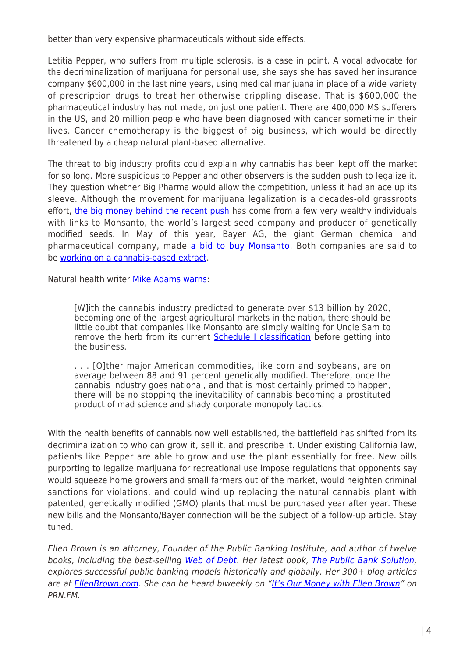better than very expensive pharmaceuticals without side effects.

Letitia Pepper, who suffers from multiple sclerosis, is a case in point. A vocal advocate for the decriminalization of marijuana for personal use, she says she has saved her insurance company \$600,000 in the last nine years, using medical marijuana in place of a wide variety of prescription drugs to treat her otherwise crippling disease. That is \$600,000 the pharmaceutical industry has not made, on just one patient. There are 400,000 MS sufferers in the US, and 20 million people who have been diagnosed with cancer sometime in their lives. Cancer chemotherapy is the biggest of big business, which would be directly threatened by a cheap natural plant-based alternative.

The threat to big industry profits could explain why cannabis has been kept off the market for so long. More suspicious to Pepper and other observers is the sudden push to legalize it. They question whether Big Pharma would allow the competition, unless it had an ace up its sleeve. Although the movement for marijuana legalization is a decades-old grassroots effort, [the big money behind the recent push](http://www.washingtontimes.com/news/2014/apr/2/billionaire-george-soros-turns-cash-into-legalized/) has come from a few very wealthy individuals with links to Monsanto, the world's largest seed company and producer of genetically modified seeds. In May of this year, Bayer AG, the giant German chemical and pharmaceutical company, made [a bid to buy Monsanto](http://www.motherjones.com/environment/2016/05/wait-now-bayer-trying-buy-monsanto). Both companies are said to be [working on a cannabis-based extract.](http://www.encod.org/info/The-Connection-Between-The.html)

Natural health writer [Mike Adams warns:](http://countercurrentnews.com/2016/04/scientists-working-stop-monsanto-monopolizing-herb-strains/)

[W]ith the cannabis industry predicted to generate over \$13 billion by 2020, becoming one of the largest agricultural markets in the nation, there should be little doubt that companies like Monsanto are simply waiting for Uncle Sam to remove the herb from its current **[Schedule I classification](http://phys.org/news/2013-06-gmo-corn-soybeans-dominate.html)** before getting into the business.

. . . [O]ther major American commodities, like corn and soybeans, are on average between 88 and 91 percent genetically modified. Therefore, once the cannabis industry goes national, and that is most certainly primed to happen, there will be no stopping the inevitability of cannabis becoming a prostituted product of mad science and shady corporate monopoly tactics.

With the health benefits of cannabis now well established, the battlefield has shifted from its decriminalization to who can grow it, sell it, and prescribe it. Under existing California law, patients like Pepper are able to grow and use the plant essentially for free. New bills purporting to legalize marijuana for recreational use impose regulations that opponents say would squeeze home growers and small farmers out of the market, would heighten criminal sanctions for violations, and could wind up replacing the natural cannabis plant with patented, genetically modified (GMO) plants that must be purchased year after year. These new bills and the Monsanto/Bayer connection will be the subject of a follow-up article. Stay tuned.

Ellen Brown is an attorney, Founder of the Public Banking Institute, and author of twelve books, including the best-selling [Web of Debt](http://webofdebt.com/). Her latest book, [The Public Bank Solution,](http://publicbanksolution.com/) explores successful public banking models historically and globally. Her 300+ blog articles are at **EllenBrown.com**. She can be heard biweekly on ["It's Our Money with Ellen Brown"](http://itsourmoney.podbean.com/) on PRN.FM.